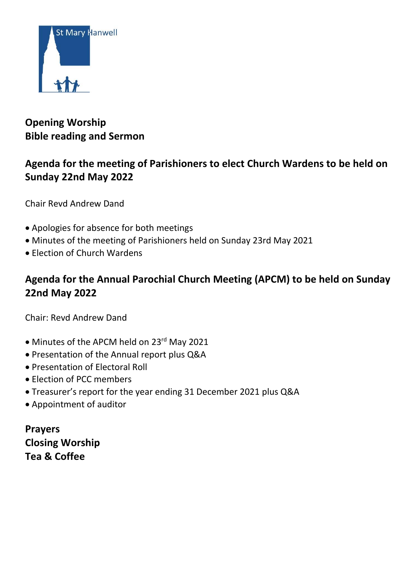

# **Opening Worship Bible reading and Sermon**

## **Agenda for the meeting of Parishioners to elect Church Wardens to be held on Sunday 22nd May 2022**

Chair Revd Andrew Dand

- Apologies for absence for both meetings
- Minutes of the meeting of Parishioners held on Sunday 23rd May 2021
- Election of Church Wardens

# **Agenda for the Annual Parochial Church Meeting (APCM) to be held on Sunday 22nd May 2022**

Chair: Revd Andrew Dand

- Minutes of the APCM held on 23rd May 2021
- Presentation of the Annual report plus Q&A
- Presentation of Electoral Roll
- Election of PCC members
- Treasurer's report for the year ending 31 December 2021 plus Q&A
- Appointment of auditor

**Prayers Closing Worship Tea & Coffee**